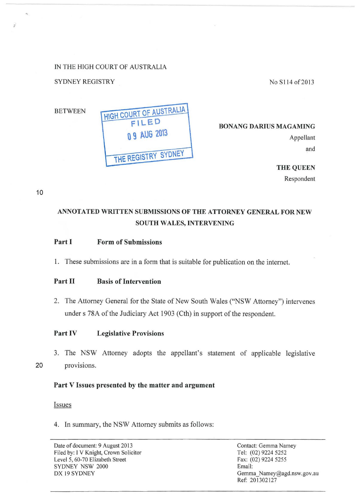IN THE HIGH COURT OF AUSTRALIA

# SYDNEY REGISTRY

No S114 of 2013



**BONANG DARIUS MAGAMING** 

Appellant and

**THE QUEEN**  Respondent

10

**r** 

# **ANNOTATED WRITTEN SUBMISSIONS OF THE ATTORNEY GENERAL FOR NEW SOUTH WALES, INTERVENING**

## **Part I Form of Submissions**

1. These submissions are in a form that is suitable for publication on the internet.

## **Part II Basis of Intervention**

2. The Attorney General for the State of New South Wales ("NSW Attorney") intervenes under s 78A of the Judiciary Act 1903 (Cth) in support of the respondent.

## **Part IV Legislative Provisions**

3. The NSW Attorney adopts the appellant's statement of applicable legislative

20 provisions.

## **Part V Issues presented by the matter and argument**

#### Issues

4. In summary, the NSW Attorney submits as follows: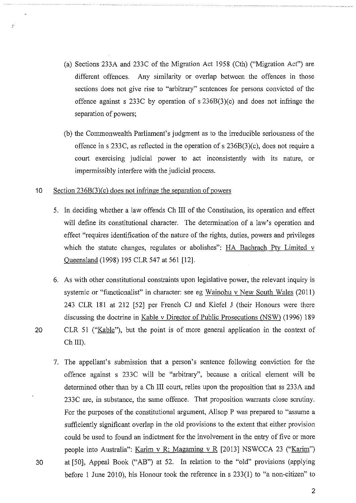- (a) Sections 233A and 233C of the Migration Act 1958 (Cth) ("Migration Act") are different offences. Any similarity or overlap between the offences in those sections does not give rise to "arbitrary" sentences for persons convicted of the offence against s 233C by operation of s 236B(3)(c) and does not infringe the separation of powers;
- (b) the Commonwealth Parliament's judgment as to the irreducible seriousness of the offence in s 233C, as reflected in the operation of s  $236B(3)(c)$ , does not require a court exercising judicial power to act inconsistently with its nature, or impermissibly interfere with the judicial process.

#### 10 Section 236B(3)(c) does not infringe the separation of powers

- 5. In deciding whether a law offends Ch III of the Constitution, its operation and effect will define its constitutional character. The determination of a law's operation and effect "requires identification of the nature of the rights, duties, powers and privileges which the statute changes, regulates or abolishes": HA Bachrach Pty Limited v Queensland (1998) 195 CLR 547 at 561 [12].
- 6. As with other constitutional constraints upon legislative power, the relevant inquiry is systemic or "functionalist" in character: see eg Wainohu v New South Wales (2011) 243 CLR 181 at 212 [52] per French CJ and Kiefel J (their Honours were there discussing the doctrine in Kable v Director of Public Prosecutions (NSW) (1996) 189
- 20 CLR 51 ("Kable"), but the point is of more general application in the context of Ch<sub>III</sub>).
- 7. The appellant's submission that a person's sentence following conviction for the offence against s 233C will be "arbitrary", because a critical element will be determined other than by a Ch III court, relies upon the proposition that ss 233A and 233C are, in substance, the same offence. That proposition warrants close scrutiny. For the purposes of the constitutional argument, Allsop P was prepared to "assume a sufficiently significant overlap in the old provisions to the extent that either provision could be used to found an indictment for the involvement in the entry of five or more people into Australia": Karim v R; Magaming v R [2013] NSWCCA 23 ("Karim") 30 at [50], Appeal Book ("AB") at 52. In relation to the "old" provisions (applying before 1 June 2010), his Honour took the reference in  $s$  233(1) to "a non-citizen" to

 $\overline{\phantom{a}}$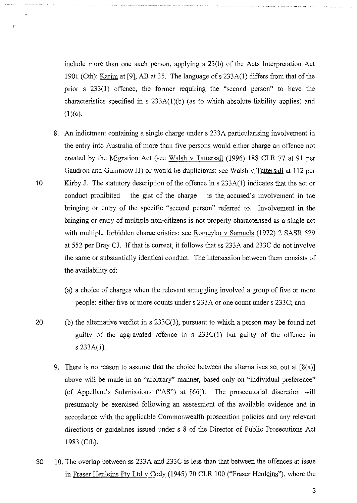include more than one such person, applying s 23(b) of the Acts Interpretation Act 1901 (Cth): Karim at [9], AB at 35. The language of s 233A(I) differs from that of the prior s 233(1) offence, the former requiring the "second person" to have the characteristics specified in s 233A(l)(b) (as to which absolute liability applies) and  $(1)(c).$ 

- 8. An indictment containing a single charge under s 233A particularising involvement in the entry into Australia of more than five persons would either charge an offence not created by the Migration Act (see Walsh v Tattersall (1996) 188 CLR 77 at 91 per Gaudron and Gummow JJ) or would be duplicitous: see Walsh v Tattersall at 112 per 10 Kirby J. The statutory description of the offence in s 233A(I) indicates that the act or conduct prohibited – the gist of the charge – is the accused's involvement in the bringing or entry of the specific "second person" referred to. Involvement in the bringing or entry of multiple non-citizens is not properly characterised as a single act with multiple forbidden characteristics: see Romeyko v Samuels (1972) 2 SASR 529 at 552 per Bray CJ. If that is correct, it follows that ss 233A and 233C do not involve the same or substantially identical conduct. The intersection between them consists of the availability of:
	- (a) a choice of charges when the relevant smuggling involved a group of five or more people: either five or more counts under s 233A or one count under s 233C; and
- 20 (b) the alternative verdict in  $s$  233C(3), pursuant to which a person may be found not guilty of the aggravated offence in s 233C(1) but guilty of the offence in s 233A(1).
	- 9. There is no reason to assume that the choice between the alternatives set out at  $[8(a)]$ above will be made in an "arbitrary" manner, based only on "individual preference" (cf Appellant's Submissions ("AS") at [66]). The prosecutorial discretion will presumably be exercised following an assessment of the available evidence and in accordance with the applicable Commonwealth prosecution policies and any relevant directions or guidelines issued under s 8 of the Director of Public Prosecutions Act 1983 (Cth).
- 30 10. The overlap between ss 233A and 233C is less than that between the offences at issue in Fraser Henleins Pty Ltd v Cody (1945) 70 CLR 100 ("Fraser Henleins"), where the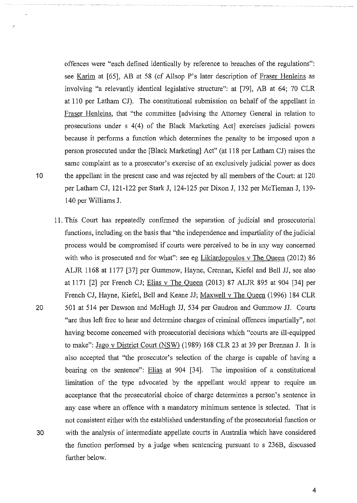offences were "each defined identically by reference to breaches of the regulations": see Karim at [65], AB at 58 (cf Allsop P's later description of Fraser Henleins as involving "a relevantly identical legislative structure": at [79], AB at 64; 70 CLR at 110 per Latham CJ). The constitutional submission on behalf of the appellant in Fraser Henleins, that "the committee [advising the Attorney General in relation to prosecutions under s 4(4) of the Black Marketing Act] exercises judicial powers because it performs a function which determines the penalty to be imposed upon a person prosecuted under the [Black Marketing] Act" (at 118 per Latham CJ) raises the same complaint as to a prosecutor's exercise of an exclusively judicial power as does 10 the appellant in the present case and was rejected by all members of the Court: at 120 per Latham CJ, 121-122 per Stark J, 124-125 per Dixon J, 132 per McTiernan J, 139- 140 per Williams J.

11. This Court has repeatedly confirmed the separation of judicial and prosecutorial functions, including on the basis that "the independence and impartiality of the judicial process would be compromised if courts were perceived to be in any way concerned with who is prosecuted and for what": see eg Likiardopoulos v The Queen (2012) 86 ALJR 1168 at 1177 [37] per Gummow, Hayne, Crennan, Kiefel and Bell JJ, see also at 1171 [2] per French CJ; Elias v The Queen (2013) 87 ALJR 895 at 904 [34] per French CJ, Hayne, Kiefel, Bell and Keane JJ; Maxwell v The Queen (1996) 184 CLR 20 501 at 514 per Dawson and McHugh JJ, 534 per Gaudron and Gummow JJ. Courts "are thus left free to hear and determine charges of criminal offences impartially", not having become concerned with prosecutorial decisions which "courts are ill-equipped to make": Jago v District Court (NSW) (1989) 168 CLR 23 at 39 per Brennan J. It is also accepted that "the prosecutor's selection of the charge is capable of having a bearing on the sentence": Elias at 904 [34]. The imposition of a constitutional limitation of the type advocated by the appellant would appear to require an acceptance that the prosecutorial choice of charge determines a person's sentence in any case where an offence with a mandatory minimum sentence is selected. That is not consistent either with the established understanding of the prosecutorial function or 30 with the analysis of intermediate appellate courts in Australia which have considered the function performed by a judge when sentencing pursuant to s 236B, discussed further below.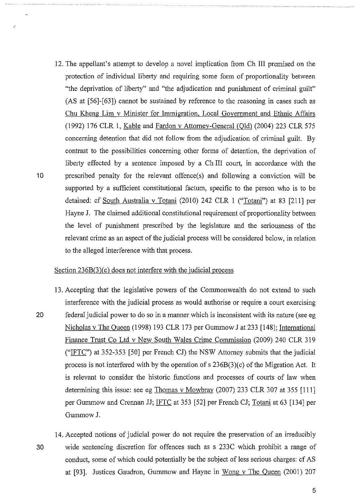12. The appellant's attempt to develop a novel implication from Ch III premised on the protection of individual liberty and requiring some form of proportionality between "the deprivation of liberty" and "the adjudication and punishment of criminal guilt" (AS at [56]-[63]) cannot be sustained by reference to the reasoning in cases such as Chu Kheng Lim v Minister for Immigration, Local Government and Ethnic Affairs (1992) 176 CLR l, Kable and Fardon v Attorney-General COld) (2004) 223 CLR 575 concerning detention that did not follow from the adjudication of criminal guilt. By contrast to the possibilities concerning other forms of detention, the deprivation of liberty effected by a sentence imposed by a Ch III court, in accordance with the 10 prescribed penalty for the relevant offence(s) and following a conviction will be supported by a sufficient constitutional factum, specific to the person who is to be detained: cf South Australia v Totani (2010) 242 CLR 1 ("Totani") at 83 [211] per Hayne J. The claimed additional constitutional requirement of proportionality between the level of punishment prescribed by the legislature and the seriousness of the relevant crime as an aspect of the judicial process will be considered below, in relation to the alleged interference with that process.

#### Section  $236B(3)(c)$  does not interfere with the judicial process

- 13. Accepting that the legislative powers of the Commonwealth do not extend to such interference with the judicial process as would authorise or require a court exercising 20 federal judicial power to do so in a manner which is inconsistent with its nature (see eg Nicholas v The Queen (1998) 193 CLR 173 per Gummow J at 233 [148]; International Finance Trust Co Ltd v New South Wales Crime Commission (2009) 240 CLR 319 ("IFTC") at  $352-353$  [50] per French CJ) the NSW Attorney submits that the judicial process is not interfered with by the operation of  $s$  236B(3)(c) of the Migration Act. It is relevant to consider the historic functions and processes of courts of law when determining this issue: see eg Thomas v Mowbray (2007) 233 CLR 307 at 355 [111] per Gummow and Crennan JJ; IFTC at 353 [52] per French CJ; Totani at 63 [134] per GummowJ.
- 14. Accepted notions of judicial power do not require the preservation of an irreducibly 30 wide sentencing discretion for offences such as s 233C which prohibit a range of conduct, some of which could potentially be the subject of less serious charges: cf AS at [93]. Justices Gaudron, Gummow and Hayne in Wong v The Queen (2001) 207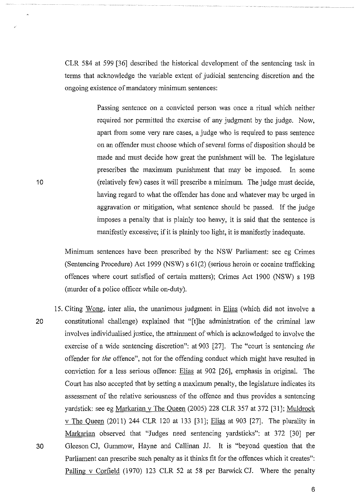CLR 584 at 599 [36] described the historical development of the sentencing task in terms that acknowledge the variable extent of judicial sentencing discretion and the ongoing existence of mandatory minimum sentences:

> Passing sentence on a convicted person was once a ritual which neither required nor permitted the exercise of any judgment by the judge. Now, apart from some very rare cases, a judge who is required to pass sentence on an offender must choose which of several forms of disposition should be made and must decide how great the punishment will be. The legislature prescribes the maximum punishment that may be imposed. In some (relatively few) cases it will prescribe a minimum. The judge must decide, having regard to what the offender has done and whatever may be urged in aggravation or mitigation, what sentence should be passed. If the judge imposes a penalty that is plainly too heavy, it is said that the sentence is manifestly excessive; if it is plainly too light, it is manifestly inadequate.

Minimum sentences have been prescribed by the NSW Parliament: see eg Crimes (Sentencing Procedure) Act 1999 (NSW) s 61(2) (serious heroin or cocaine trafficking offences where court satisfied of certain matters); Crimes Act 1900 (NSW) s 19B (murder of a police officer while on-duty).

15. Citing Wong, inter alia, the unanimous judgment in Elias (which did not involve a 20 constitutional challenge) explained that "[t]he administration of the criminal law involves individualised justice, the attainment of which is acknowledged to involve the exercise of a wide sentencing discretion": at 903 [27]. The "court is sentencing *the*  offender for *the* offence", not for the offending conduct which might have resulted in conviction for a less serious offence: Elias at 902 [26], emphasis in original. The Court has also accepted that by setting a maximum penalty, the legislature indicates its assessment of the relative seriousness of the offence and thus provides a sentencing yardstick: see eg Markarian v The Queen (2005) 228 CLR 357 at 372 [31]; Muldrock v The Queen (2011) 244 CLR 120 at 133 [31]; Elias at 903 [27]. The plurality in Markarian observed that "Judges need sentencing yardsticks": at 372 [30] per 30 Gleeson CJ, Gummow, Hayne and Callinan JJ. It is "beyond question that the Parliament can prescribe such penalty as it thinks fit for the offences which it creates": Palling v Corfield (1970) 123 CLR 52 at 58 per Barwick CJ. Where the penalty

10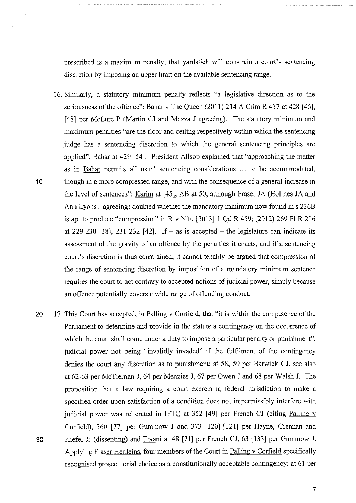prescribed is a maximum penalty, that yardstick will constrain a court's sentencing discretion by imposing an upper limit on the available sentencing range.

- 16. Similarly, a statutory minimum penalty reflects "a legislative direction as to the seriousness of the offence": Bahar v The Queen (2011) 214 A Crim R 417 at 428 [46], [48] per McLure P (Martin CJ and Mazza J agreeing). The statutory minimum and maximum penalties "are the floor and ceiling respectively within which the sentencing judge has a sentencing discretion to which the general sentencing principles are applied": Bahar at 429 [54]. President Allsop explained that "approaching the matter as in Bahar permits all usual sentencing considerations ... to be accommodated, 10 though in a more compressed range, and with the consequence of a general increase in the level of sentences": Karim at [ 45], AB at 50, although Fraser JA (Holmes JA and Ann Lyons J agreeing) doubted whether the mandatory minimum now found ins 236B is apt to produce "compression" in R v Nitu  $[2013]$  1 Qd R 459; (2012) 269 FLR 216 at 229-230 [38], 231-232 [42]. If  $-$  as is accepted  $-$  the legislature can indicate its assessment of the gravity of an offence by the penalties it enacts, and if a sentencing court's discretion is thus constrained, it cannot tenably be argued that compression of the range of sentencing discretion by imposition of a mandatory minimum sentence requires the court to act contrary to accepted notions of judicial power, simply because an offence potentially covers a wide range of offending conduct.
- 20 17. This Court has accepted, in Palling v Corfield, that "it is within the competence of the Parliament to determine and provide in the statute a contingency on the occurrence of which the court shall come under a duty to impose a particular penalty or punishment", judicial power not being "invalidly invaded" if the fulfilment of the contingency denies the court any discretion as to punishment: at 58, 59 per Barwick CJ, see also at 62-63 per McTiernan J, 64 per Menzies J, 67 per Owen J and 68 per Walsh J. The proposition that a law requiring a court exercising federal jurisdiction to make a specified order upon satisfaction of a condition does not impermissibly interfere with judicial power was reiterated in IFTC at 352  $[49]$  per French CJ (citing Palling v Corfield), 360 [77] per Gummow J and 373 [120]-[121] per Hayne, Crennan and 30 Kiefel JJ (dissenting) and Totani at 48 [71] per French CJ, 63 [133] per Gummow J. Applying Fraser Henleins, four members of the Court in Palling v Corfield specifically recognised prosecutorial choice as a constitutionally acceptable contingency: at 61 per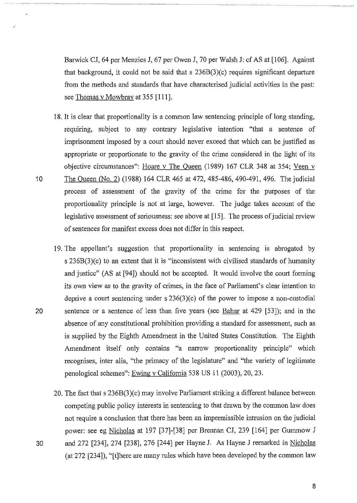Barwick CJ, 64 per Menzies J, 67 per Owen J, 70 per Walsh J: cf AS at [106]. Against that background, it could not be said that s 236B(3)(c) requires significant departure from the methods and standards that have characterised judicial activities in the past: see Thomas v Mowbray at 355 [111].

- 18. It is clear that proportionality is a common law sentencing principle of long standing, requiring, subject to any contrary legislative intention "that a sentence of imprisonment imposed by a court should never exceed that which can be justified as appropriate or proportionate to the gravity of the crime considered in the light of its objective circumstances": Hoare v The Queen (1989) 167 CLR 348 at 354; Veen v 10 The Queen (No.2) (1988) 164 CLR 465 at 472, 485-486, 490-491, 496. The judicial process of assessment of the gravity of the crime for the purposes of the proportionality principle is not at large, however. The judge takes account of the legislative assessment of seriousness: see above at [15]. The process of judicial review of sentences for manifest excess does not differ in this respect.
- 19. The appellant's suggestion that proportionality in sentencing is abrogated by s 236B(3)(c) to an extent that it is "inconsistent with civilised standards of humanity and justice" (AS at [94]) should not be accepted. It would involve the court forming its own view as to the gravity of crimes, in the face of Parliament's clear intention to deprive a court sentencing under s 236(3)(c) of the power to impose a non-custodial 20 sentence or a sentence of less than five years (see Bahar at 429 [53]); and in the absence of any constitutional prohibition providing a standard for assessment, such as is supplied by the Eighth Amendment in the United States Constitution. The Eighth Amendment itself only contains "a narrow proportionality principle" which recognises, inter alia, "the primacy of the legislature" and "the variety of legitimate penological schemes": Ewing v California 538 US 11 (2003), 20, 23.
- 20. The fact that s 236B(3)(c) may involve Parliament striking a different balance between competing public policy interests in sentencing to that drawn by the common law does not require a conclusion that there has been an impermissible intrusion on the judicial power: see eg Nicholas at 197 [37]-[38] per Brennan CJ, 239 [164] per Gummow J 30 and 272 [234], 274 [238], 276 [244] per Hayne J. As Hayne J remarked in Nicholas (at 272 [234]), "[t]here are many rules which have been developed by the common law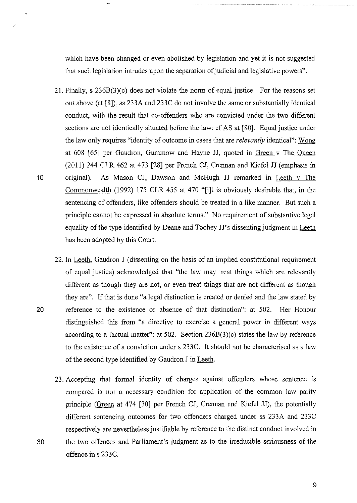which have been changed or even abolished by legislation and yet it is not suggested that such legislation intrudes upon the separation of judicial and legislative powers".

- 21. Finally, s 236B(3)(c) does not violate the norm of equal justice. For the reasons set out above (at [8]), ss 233A and 233C do not involve the same or substantially identical conduct, with the result that co-offenders who are convicted under the two different sections are not identically situated before the law: cf AS at [80]. Equal justice under the law only requires "identity of outcome in cases that are *relevantly* identical": Wong at 608 [65] per Gaudron, Gummow and Hayne JJ, quoted in Green v The Queen (2011) 244 CLR 462 at 473 [28] per French CJ, Crennan and Kiefel JJ (emphasis in 10 original). As Mason CJ, Dawson and McHugh JJ remarked in Leeth v The Commonwealth (1992) 175 CLR 455 at 470 "[i]t is obviously desirable that, in the sentencing of offenders, like offenders should be treated in a like manner. But such a principle cannot be expressed in absolute terms." No requirement of substantive legal equality of the type identified by Deane and Toohey JJ's dissenting judgment in Leeth has been adopted by this Court.
- 22. In Leeth, Gaudron J (dissenting on the basis of an implied constitutional requirement of equal justice) acknowledged that "the law may treat things which are relevantly different as though they are not, or even treat things that are not different as though they are". If that is done "a legal distinction is created or denied and the law stated by 20 reference to the existence or absence of that distinction": at 502. Her Honour distinguished this from "a directive to exercise a general power in different ways according to a factual matter": at  $502$ . Section  $236B(3)(c)$  states the law by reference to the existence of a conviction under s 233C. It should not be characterised as a law of the second type identified by Gaudron J in Leeth.
- 23. Accepting that formal identity of charges against offenders whose sentence is compared is not a necessary condition for application of the common law parity principle (Green at 474 [30] per French CJ, Crennan and Kiefel JJ), the potentially different sentencing outcomes for two offenders charged under ss 233A and 233C respectively are nevertheless justifiable by reference to the distinct conduct involved in 30 the two offences and Parliament's judgment as to the irreducible seriousness of the offence in s 233C.